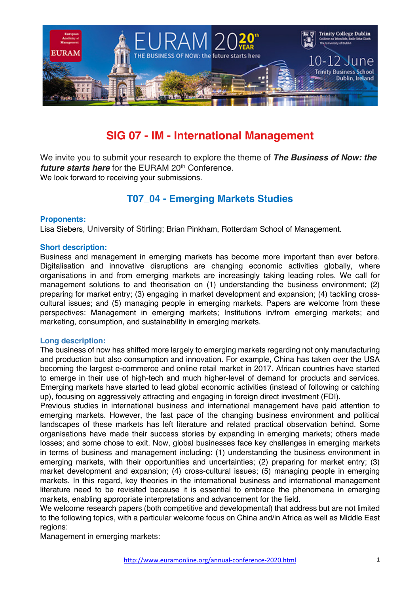

# **SIG 07 - IM - International Management**

We invite you to submit your research to explore the theme of *The Business of Now: the future starts here* for the EURAM 20<sup>th</sup> Conference. We look forward to receiving your submissions.

# **T07\_04 - Emerging Markets Studies**

# **Proponents:**

Lisa Siebers, University of Stirling; Brian Pinkham, Rotterdam School of Management.

#### **Short description:**

Business and management in emerging markets has become more important than ever before. Digitalisation and innovative disruptions are changing economic activities globally, where organisations in and from emerging markets are increasingly taking leading roles. We call for management solutions to and theorisation on (1) understanding the business environment; (2) preparing for market entry; (3) engaging in market development and expansion; (4) tackling crosscultural issues; and (5) managing people in emerging markets. Papers are welcome from these perspectives: Management in emerging markets; Institutions in/from emerging markets; and marketing, consumption, and sustainability in emerging markets.

#### **Long description:**

The business of now has shifted more largely to emerging markets regarding not only manufacturing and production but also consumption and innovation. For example, China has taken over the USA becoming the largest e-commerce and online retail market in 2017. African countries have started to emerge in their use of high-tech and much higher-level of demand for products and services. Emerging markets have started to lead global economic activities (instead of following or catching up), focusing on aggressively attracting and engaging in foreign direct investment (FDI).

Previous studies in international business and international management have paid attention to emerging markets. However, the fast pace of the changing business environment and political landscapes of these markets has left literature and related practical observation behind. Some organisations have made their success stories by expanding in emerging markets; others made losses; and some chose to exit. Now, global businesses face key challenges in emerging markets in terms of business and management including: (1) understanding the business environment in emerging markets, with their opportunities and uncertainties; (2) preparing for market entry; (3) market development and expansion; (4) cross-cultural issues; (5) managing people in emerging markets. In this regard, key theories in the international business and international management literature need to be revisited because it is essential to embrace the phenomena in emerging markets, enabling appropriate interpretations and advancement for the field.

We welcome research papers (both competitive and developmental) that address but are not limited to the following topics, with a particular welcome focus on China and/in Africa as well as Middle East regions:

Management in emerging markets: